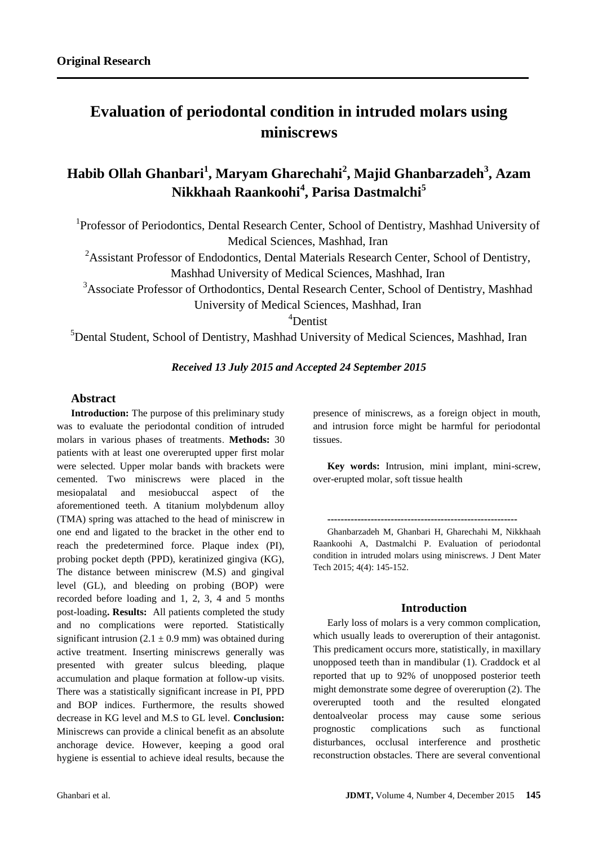# **Evaluation of periodontal condition in intruded molars using miniscrews**

## **Habib Ollah Ghanbari<sup>1</sup> , Maryam Gharechahi<sup>2</sup> , Majid Ghanbarzadeh<sup>3</sup> , Azam Nikkhaah Raankoohi<sup>4</sup> , Parisa Dastmalchi<sup>5</sup>**

<sup>1</sup>Professor of Periodontics, Dental Research Center, School of Dentistry, Mashhad University of Medical Sciences, Mashhad, Iran

<sup>2</sup>Assistant Professor of Endodontics, Dental Materials Research Center, School of Dentistry, Mashhad University of Medical Sciences, Mashhad, Iran

<sup>3</sup>Associate Professor of Orthodontics, Dental Research Center, School of Dentistry, Mashhad University of Medical Sciences, Mashhad, Iran

<sup>4</sup>Dentist

<sup>5</sup>Dental Student, School of Dentistry, Mashhad University of Medical Sciences, Mashhad, Iran

## *Received 13 July 2015 and Accepted 24 September 2015*

#### **Abstract**

**Introduction:** The purpose of this preliminary study was to evaluate the periodontal condition of intruded molars in various phases of treatments. **Methods:** 30 patients with at least one overerupted upper first molar were selected. Upper molar bands with brackets were cemented. Two miniscrews were placed in the mesiopalatal and mesiobuccal aspect of the aforementioned teeth. A titanium molybdenum alloy (TMA) spring was attached to the head of miniscrew in one end and ligated to the bracket in the other end to reach the predetermined force. Plaque index (PI), probing pocket depth (PPD), keratinized gingiva (KG), The distance between miniscrew (M.S) and gingival level (GL), and bleeding on probing (BOP) were recorded before loading and 1, 2, 3, 4 and 5 months post-loading**. Results:** All patients completed the study and no complications were reported. Statistically significant intrusion  $(2.1 \pm 0.9 \text{ mm})$  was obtained during active treatment. Inserting miniscrews generally was presented with greater sulcus bleeding, plaque accumulation and plaque formation at follow-up visits. There was a statistically significant increase in PI, PPD and BOP indices. Furthermore, the results showed decrease in KG level and M.S to GL level. **Conclusion:** Miniscrews can provide a clinical benefit as an absolute anchorage device. However, keeping a good oral hygiene is essential to achieve ideal results, because the

presence of miniscrews, as a foreign object in mouth, and intrusion force might be harmful for periodontal tissues.

**Key words:** Intrusion, mini implant, mini-screw, over-erupted molar, soft tissue health

**---------------------------------------------------------**

Ghanbarzadeh M, Ghanbari H, Gharechahi M, Nikkhaah Raankoohi A, Dastmalchi P. Evaluation of periodontal condition in intruded molars using miniscrews. J Dent Mater Tech 2015; 4(4): 145-152.

#### **Introduction**

Early loss of molars is a very common complication, which usually leads to overeruption of their antagonist. This predicament occurs more, statistically, in maxillary unopposed teeth than in mandibular (1). Craddock et al reported that up to 92% of unopposed posterior teeth might demonstrate some degree of overeruption (2). The overerupted tooth and the resulted elongated dentoalveolar process may cause some serious prognostic complications such as functional disturbances, occlusal interference and prosthetic reconstruction obstacles. There are several conventional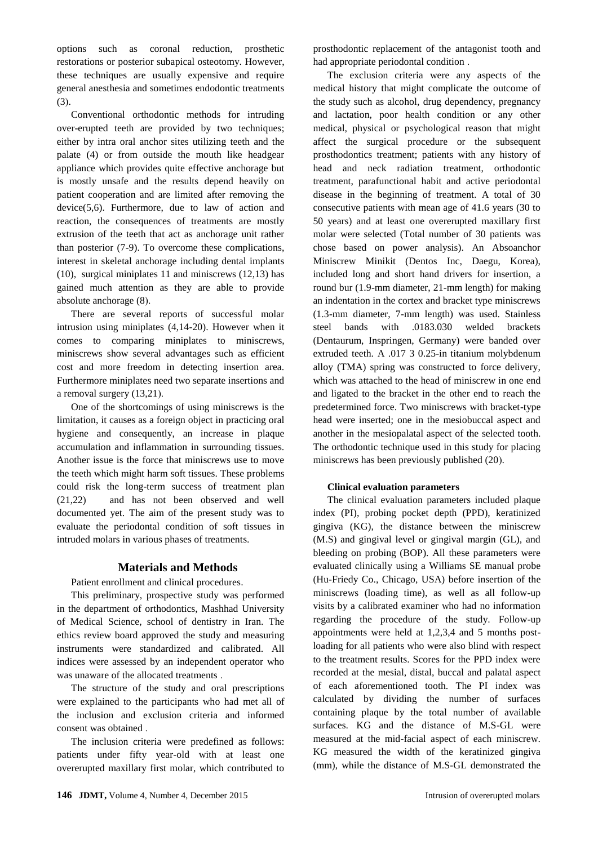options such as coronal reduction, prosthetic restorations or posterior subapical osteotomy. However, these techniques are usually expensive and require general anesthesia and sometimes endodontic treatments  $(3)$ .

Conventional orthodontic methods for intruding over-erupted teeth are provided by two techniques; either by intra oral anchor sites utilizing teeth and the palate (4) or from outside the mouth like headgear appliance which provides quite effective anchorage but is mostly unsafe and the results depend heavily on patient cooperation and are limited after removing the device(5,6). Furthermore, due to law of action and reaction, the consequences of treatments are mostly extrusion of the teeth that act as anchorage unit rather than posterior (7-9). To overcome these complications, interest in skeletal anchorage including dental implants (10), surgical miniplates 11 and miniscrews (12,13) has gained much attention as they are able to provide absolute anchorage  $(8)$ .

There are several reports of successful molar intrusion using miniplates (4,14-20). However when it comes to comparing miniplates to miniscrews, miniscrews show several advantages such as efficient cost and more freedom in detecting insertion area. Furthermore miniplates need two separate insertions and a removal surgery  $(13,21)$ .

One of the shortcomings of using miniscrews is the limitation, it causes as a foreign object in practicing oral hygiene and consequently, an increase in plaque accumulation and inflammation in surrounding tissues. Another issue is the force that miniscrews use to move the teeth which might harm soft tissues. These problems could risk the long-term success of treatment plan (21,22) and has not been observed and well documented yet. The aim of the present study was to evaluate the periodontal condition of soft tissues in intruded molars in various phases of treatments.

## **Materials and Methods**

Patient enrollment and clinical procedures.

This preliminary, prospective study was performed in the department of orthodontics, Mashhad University of Medical Science, school of dentistry in Iran. The ethics review board approved the study and measuring instruments were standardized and calibrated. All indices were assessed by an independent operator who was unaware of the allocated treatments .

The structure of the study and oral prescriptions were explained to the participants who had met all of the inclusion and exclusion criteria and informed consent was obtained .

The inclusion criteria were predefined as follows: patients under fifty year-old with at least one overerupted maxillary first molar, which contributed to

prosthodontic replacement of the antagonist tooth and had appropriate periodontal condition .

The exclusion criteria were any aspects of the medical history that might complicate the outcome of the study such as alcohol, drug dependency, pregnancy and lactation, poor health condition or any other medical, physical or psychological reason that might affect the surgical procedure or the subsequent prosthodontics treatment; patients with any history of head and neck radiation treatment, orthodontic treatment, parafunctional habit and active periodontal disease in the beginning of treatment. A total of 30 consecutive patients with mean age of 41.6 years (30 to 50 years) and at least one overerupted maxillary first molar were selected (Total number of 30 patients was chose based on power analysis). An Absoanchor Miniscrew Minikit (Dentos Inc, Daegu, Korea), included long and short hand drivers for insertion, a round bur (1.9-mm diameter, 21-mm length) for making an indentation in the cortex and bracket type miniscrews (1.3-mm diameter, 7-mm length) was used. Stainless steel bands with .0183.030 welded brackets (Dentaurum, Inspringen, Germany) were banded over extruded teeth. A .017 3 0.25-in titanium molybdenum alloy (TMA) spring was constructed to force delivery, which was attached to the head of miniscrew in one end and ligated to the bracket in the other end to reach the predetermined force. Two miniscrews with bracket-type head were inserted; one in the mesiobuccal aspect and another in the mesiopalatal aspect of the selected tooth. The orthodontic technique used in this study for placing miniscrews has been previously published (20).

#### **Clinical evaluation parameters**

The clinical evaluation parameters included plaque index (PI), probing pocket depth (PPD), keratinized gingiva (KG), the distance between the miniscrew (M.S) and gingival level or gingival margin (GL), and bleeding on probing (BOP). All these parameters were evaluated clinically using a Williams SE manual probe (Hu-Friedy Co., Chicago, USA) before insertion of the miniscrews (loading time), as well as all follow-up visits by a calibrated examiner who had no information regarding the procedure of the study. Follow-up appointments were held at 1,2,3,4 and 5 months postloading for all patients who were also blind with respect to the treatment results. Scores for the PPD index were recorded at the mesial, distal, buccal and palatal aspect of each aforementioned tooth. The PI index was calculated by dividing the number of surfaces containing plaque by the total number of available surfaces. KG and the distance of M.S-GL were measured at the mid-facial aspect of each miniscrew. KG measured the width of the keratinized gingiva (mm), while the distance of M.S-GL demonstrated the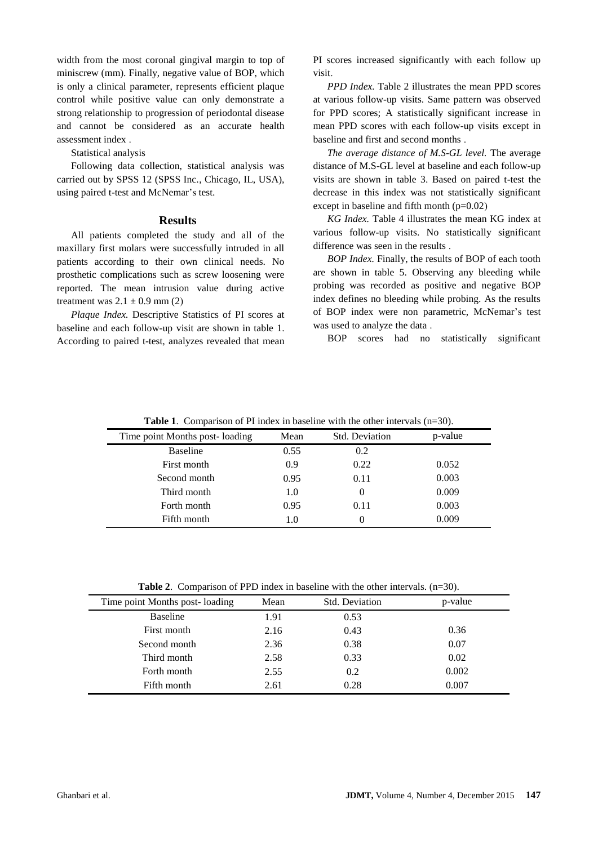width from the most coronal gingival margin to top of miniscrew (mm). Finally, negative value of BOP, which is only a clinical parameter, represents efficient plaque control while positive value can only demonstrate a strong relationship to progression of periodontal disease and cannot be considered as an accurate health assessment index .

Statistical analysis

Following data collection, statistical analysis was carried out by SPSS 12 (SPSS Inc., Chicago, IL, USA), using paired t-test and McNemar's test.

#### **Results**

All patients completed the study and all of the maxillary first molars were successfully intruded in all patients according to their own clinical needs. No prosthetic complications such as screw loosening were reported. The mean intrusion value during active treatment was  $2.1 \pm 0.9$  mm (2)

*Plaque Index.* Descriptive Statistics of PI scores at baseline and each follow-up visit are shown in table 1. According to paired t-test, analyzes revealed that mean

PI scores increased significantly with each follow up visit.

*PPD Index.* Table 2 illustrates the mean PPD scores at various follow-up visits. Same pattern was observed for PPD scores; A statistically significant increase in mean PPD scores with each follow-up visits except in baseline and first and second months .

*The average distance of M.S-GL level.* The average distance of M.S-GL level at baseline and each follow-up visits are shown in table 3. Based on paired t-test the decrease in this index was not statistically significant except in baseline and fifth month  $(p=0.02)$ 

*KG Index.* Table 4 illustrates the mean KG index at various follow-up visits. No statistically significant difference was seen in the results .

*BOP Index.* Finally, the results of BOP of each tooth are shown in table 5. Observing any bleeding while probing was recorded as positive and negative BOP index defines no bleeding while probing. As the results of BOP index were non parametric, McNemar's test was used to analyze the data .

BOP scores had no statistically significant

| <b>Table 1.</b> Comparison of FT mack in baseline with the other microals $(n=0.0)$ . |      |                |         |
|---------------------------------------------------------------------------------------|------|----------------|---------|
| Time point Months post-loading                                                        | Mean | Std. Deviation | p-value |
| <b>Baseline</b>                                                                       | 0.55 | 0.2            |         |
| First month                                                                           | 0.9  | 0.22           | 0.052   |
| Second month                                                                          | 0.95 | 0.11           | 0.003   |
| Third month                                                                           | 1.0  |                | 0.009   |
| Forth month                                                                           | 0.95 | 0.11           | 0.003   |
| Fifth month                                                                           | 1.0  |                | 0.009   |

**Table 1.** Comparison of PI index in baseline with the other intervals (n=30).

Table 2. Comparison of PPD index in baseline with the other intervals.  $(n=30)$ .

| Time point Months post-loading | Mean | <b>Std. Deviation</b> | p-value |
|--------------------------------|------|-----------------------|---------|
| <b>Baseline</b>                | 1.91 | 0.53                  |         |
| First month                    | 2.16 | 0.43                  | 0.36    |
| Second month                   | 2.36 | 0.38                  | 0.07    |
| Third month                    | 2.58 | 0.33                  | 0.02    |
| Forth month                    | 2.55 | 0.2                   | 0.002   |
| Fifth month                    | 2.61 | 0.28                  | 0.007   |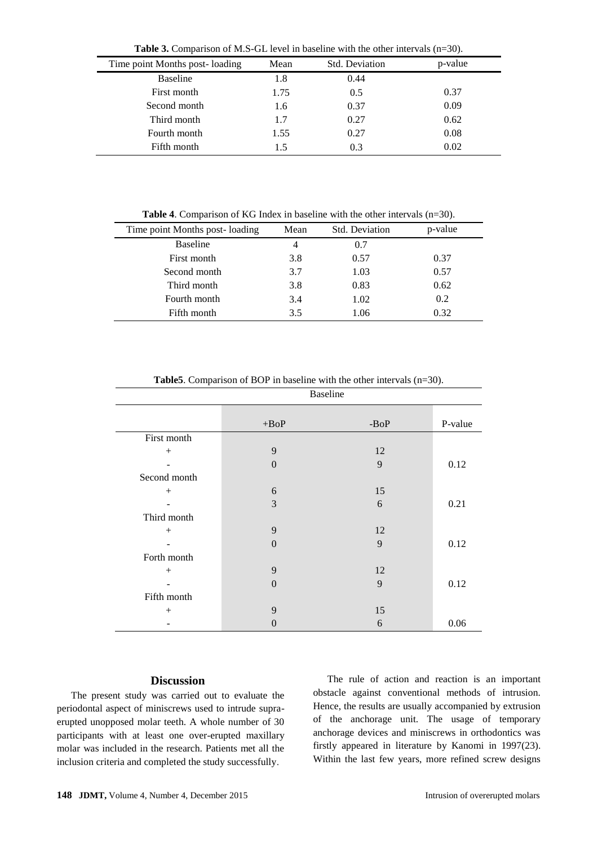| <b>Table 3.</b> Comparison of M.S-GL level in baseline with the other intervals $(n=30)$ . |  |  |  |  |  |
|--------------------------------------------------------------------------------------------|--|--|--|--|--|
|--------------------------------------------------------------------------------------------|--|--|--|--|--|

| Time point Months post-loading | Mean | <b>Std. Deviation</b> | p-value |
|--------------------------------|------|-----------------------|---------|
| <b>Baseline</b>                | 1.8  | 0.44                  |         |
| First month                    | 1.75 | 0.5                   | 0.37    |
| Second month                   | 1.6  | 0.37                  | 0.09    |
| Third month                    | 1.7  | 0.27                  | 0.62    |
| Fourth month                   | 1.55 | 0.27                  | 0.08    |
| Fifth month                    | 1.5  | 0.3                   | 0.02    |

**Table 4**. Comparison of KG Index in baseline with the other intervals (n=30).

| Time point Months post-loading | Mean | Std. Deviation | p-value |
|--------------------------------|------|----------------|---------|
| <b>Baseline</b>                | 4    | 0.7            |         |
| First month                    | 3.8  | 0.57           | 0.37    |
| Second month                   | 3.7  | 1.03           | 0.57    |
| Third month                    | 3.8  | 0.83           | 0.62    |
| Fourth month                   | 3.4  | 1.02           | 0.2     |
| Fifth month                    | 3.5  | 1.06           | 0.32    |

| Baseline     |                  |      |         |
|--------------|------------------|------|---------|
|              | $+ BoP$          | -BoP | P-value |
| First month  |                  |      |         |
| $+$          | 9                | 12   |         |
|              | $\boldsymbol{0}$ | 9    | 0.12    |
| Second month |                  |      |         |
| $+$          | 6                | 15   |         |
|              | 3                | 6    | 0.21    |
| Third month  |                  |      |         |
|              | 9                | 12   |         |
|              | $\boldsymbol{0}$ | 9    | 0.12    |
| Forth month  |                  |      |         |
| $+$          | 9                | 12   |         |
|              | $\boldsymbol{0}$ | 9    | 0.12    |
| Fifth month  |                  |      |         |
| $+$          | 9                | 15   |         |
|              | 0                | 6    | 0.06    |

**Table5**. Comparison of BOP in baseline with the other intervals (n=30).

## **Discussion**

The present study was carried out to evaluate the periodontal aspect of miniscrews used to intrude supraerupted unopposed molar teeth. A whole number of 30 participants with at least one over-erupted maxillary molar was included in the research. Patients met all the inclusion criteria and completed the study successfully.

The rule of action and reaction is an important obstacle against conventional methods of intrusion. Hence, the results are usually accompanied by extrusion of the anchorage unit. The usage of temporary anchorage devices and miniscrews in orthodontics was firstly appeared in literature by Kanomi in 1997(23). Within the last few years, more refined screw designs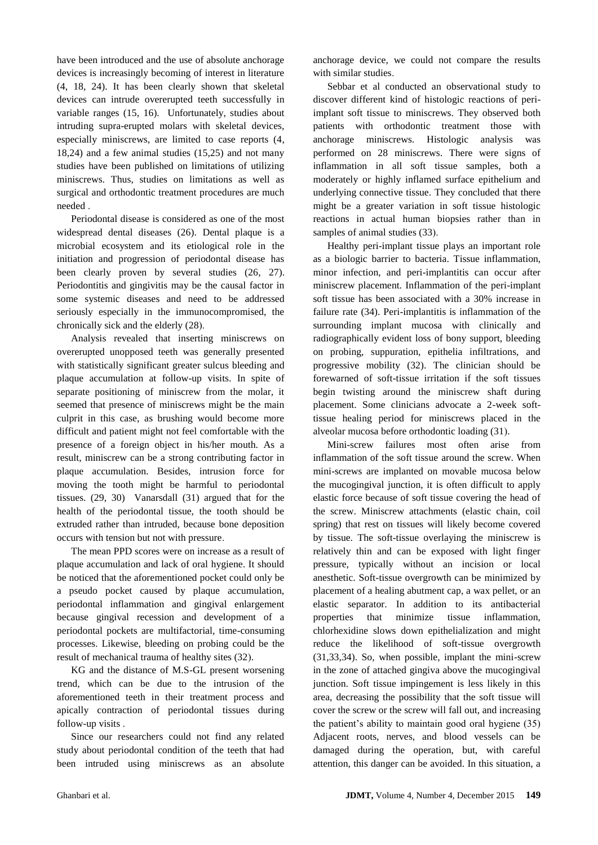have been introduced and the use of absolute anchorage devices is increasingly becoming of interest in literature (4, 18, 24). It has been clearly shown that skeletal devices can intrude overerupted teeth successfully in variable ranges (15, 16). Unfortunately, studies about intruding supra-erupted molars with skeletal devices, especially miniscrews, are limited to case reports (4, 18,24) and a few animal studies (15,25) and not many studies have been published on limitations of utilizing miniscrews. Thus, studies on limitations as well as surgical and orthodontic treatment procedures are much needed .

Periodontal disease is considered as one of the most widespread dental diseases (26). Dental plaque is a microbial ecosystem and its etiological role in the initiation and progression of periodontal disease has been clearly proven by several studies  $(26, 27)$ . Periodontitis and gingivitis may be the causal factor in some systemic diseases and need to be addressed seriously especially in the immunocompromised, the chronically sick and the elderly  $(28)$ .

Analysis revealed that inserting miniscrews on overerupted unopposed teeth was generally presented with statistically significant greater sulcus bleeding and plaque accumulation at follow-up visits. In spite of separate positioning of miniscrew from the molar, it seemed that presence of miniscrews might be the main culprit in this case, as brushing would become more difficult and patient might not feel comfortable with the presence of a foreign object in his/her mouth. As a result, miniscrew can be a strong contributing factor in plaque accumulation. Besides, intrusion force for moving the tooth might be harmful to periodontal tissues. (29, 30) Vanarsdall (31) argued that for the health of the periodontal tissue, the tooth should be extruded rather than intruded, because bone deposition occurs with tension but not with pressure.

The mean PPD scores were on increase as a result of plaque accumulation and lack of oral hygiene. It should be noticed that the aforementioned pocket could only be a pseudo pocket caused by plaque accumulation, periodontal inflammation and gingival enlargement because gingival recession and development of a periodontal pockets are multifactorial, time-consuming processes. Likewise, bleeding on probing could be the result of mechanical trauma of healthy sites (32).

KG and the distance of M.S-GL present worsening trend, which can be due to the intrusion of the aforementioned teeth in their treatment process and apically contraction of periodontal tissues during follow-up visits .

Since our researchers could not find any related study about periodontal condition of the teeth that had been intruded using miniscrews as an absolute

anchorage device, we could not compare the results with similar studies.

Sebbar et al conducted an observational study to discover different kind of histologic reactions of periimplant soft tissue to miniscrews. They observed both patients with orthodontic treatment those with anchorage miniscrews. Histologic analysis was performed on 28 miniscrews. There were signs of inflammation in all soft tissue samples, both a moderately or highly inflamed surface epithelium and underlying connective tissue. They concluded that there might be a greater variation in soft tissue histologic reactions in actual human biopsies rather than in samples of animal studies (33).

Healthy peri-implant tissue plays an important role as a biologic barrier to bacteria. Tissue inflammation, minor infection, and peri-implantitis can occur after miniscrew placement. Inflammation of the peri-implant soft tissue has been associated with a 30% increase in failure rate (34). Peri-implantitis is inflammation of the surrounding implant mucosa with clinically and radiographically evident loss of bony support, bleeding on probing, suppuration, epithelia infiltrations, and progressive mobility (32). The clinician should be forewarned of soft-tissue irritation if the soft tissues begin twisting around the miniscrew shaft during placement. Some clinicians advocate a 2-week softtissue healing period for miniscrews placed in the alveolar mucosa before orthodontic loading (31).

Mini-screw failures most often arise from inflammation of the soft tissue around the screw. When mini-screws are implanted on movable mucosa below the mucogingival junction, it is often difficult to apply elastic force because of soft tissue covering the head of the screw. Miniscrew attachments (elastic chain, coil spring) that rest on tissues will likely become covered by tissue. The soft-tissue overlaying the miniscrew is relatively thin and can be exposed with light finger pressure, typically without an incision or local anesthetic. Soft-tissue overgrowth can be minimized by placement of a healing abutment cap, a wax pellet, or an elastic separator. In addition to its antibacterial properties that minimize tissue inflammation, chlorhexidine slows down epithelialization and might reduce the likelihood of soft-tissue overgrowth (31,33,34). So, when possible, implant the mini-screw in the zone of attached gingiva above the mucogingival junction. Soft tissue impingement is less likely in this area, decreasing the possibility that the soft tissue will cover the screw or the screw will fall out, and increasing the patient's ability to maintain good oral hygiene (35) Adjacent roots, nerves, and blood vessels can be damaged during the operation, but, with careful attention, this danger can be avoided. In this situation, a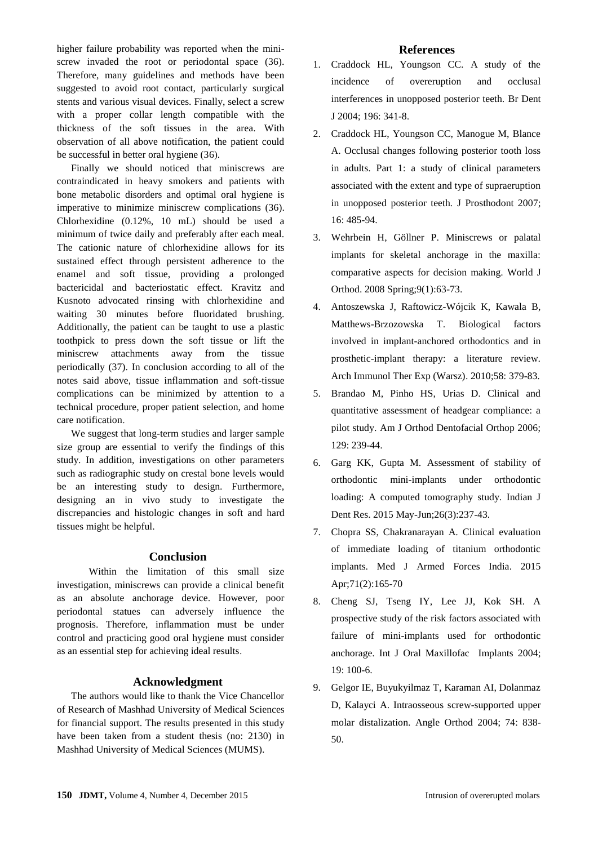higher failure probability was reported when the miniscrew invaded the root or periodontal space (36). Therefore, many guidelines and methods have been suggested to avoid root contact, particularly surgical stents and various visual devices. Finally, select a screw with a proper collar length compatible with the thickness of the soft tissues in the area. With observation of all above notification, the patient could be successful in better oral hygiene  $(36)$ .

Finally we should noticed that miniscrews are contraindicated in heavy smokers and patients with bone metabolic disorders and optimal oral hygiene is imperative to minimize miniscrew complications (36). Chlorhexidine (0.12%, 10 mL) should be used a minimum of twice daily and preferably after each meal. The cationic nature of chlorhexidine allows for its sustained effect through persistent adherence to the enamel and soft tissue, providing a prolonged bactericidal and bacteriostatic effect. Kravitz and Kusnoto advocated rinsing with chlorhexidine and waiting 30 minutes before fluoridated brushing. Additionally, the patient can be taught to use a plastic toothpick to press down the soft tissue or lift the miniscrew attachments away from the tissue periodically (37). In conclusion according to all of the notes said above, tissue inflammation and soft-tissue complications can be minimized by attention to a technical procedure, proper patient selection, and home care notification.

We suggest that long-term studies and larger sample size group are essential to verify the findings of this study. In addition, investigations on other parameters such as radiographic study on crestal bone levels would be an interesting study to design. Furthermore, designing an in vivo study to investigate the discrepancies and histologic changes in soft and hard tissues might be helpful.

#### **Conclusion**

 Within the limitation of this small size investigation, miniscrews can provide a clinical benefit as an absolute anchorage device. However, poor periodontal statues can adversely influence the prognosis. Therefore, inflammation must be under control and practicing good oral hygiene must consider as an essential step for achieving ideal results.

#### **Acknowledgment**

The authors would like to thank the Vice Chancellor of Research of Mashhad University of Medical Sciences for financial support. The results presented in this study have been taken from a student thesis (no: 2130) in Mashhad University of Medical Sciences (MUMS).

#### **References**

- 1. Craddock HL, Youngson CC. A study of the incidence of overeruption and occlusal interferences in unopposed posterior teeth. Br Dent J 2004; 196: 341-8.
- 2. Craddock HL, Youngson CC, Manogue M, Blance A. Occlusal changes following posterior tooth loss in adults. Part 1: a study of clinical parameters associated with the extent and type of supraeruption in unopposed posterior teeth*.* J Prosthodont 2007; 16: 485-94.
- 3. Wehrbein H, Göllner P. [Miniscrews or palatal](http://www.ncbi.nlm.nih.gov/pubmed/18426107)  [implants for skeletal anchorage in the maxilla:](http://www.ncbi.nlm.nih.gov/pubmed/18426107)  [comparative aspects for decision making.](http://www.ncbi.nlm.nih.gov/pubmed/18426107) World J Orthod. 2008 Spring;9(1):63-73.
- 4. Antoszewska J, Raftowicz-Wójcik K, Kawala B, Matthews-Brzozowska T. [Biological factors](http://www.ncbi.nlm.nih.gov/pubmed/20676787)  [involved in implant-anchored orthodontics and in](http://www.ncbi.nlm.nih.gov/pubmed/20676787)  [prosthetic-implant therapy: a literature review.](http://www.ncbi.nlm.nih.gov/pubmed/20676787) Arch Immunol Ther Exp (Warsz). 2010;58: 379-83.
- 5. Brandao M, Pinho HS, Urias D. Clinical and quantitative assessment of headgear compliance: a pilot study. Am J Orthod Dentofacial Orthop 2006; 129: 239-44.
- 6. Garg KK, Gupta M. [Assessment of stability of](http://www.ncbi.nlm.nih.gov/pubmed/26275187)  [orthodontic mini-implants under orthodontic](http://www.ncbi.nlm.nih.gov/pubmed/26275187)  [loading: A computed tomography study.](http://www.ncbi.nlm.nih.gov/pubmed/26275187) Indian J Dent Res. 2015 May-Jun;26(3):237-43.
- 7. Chopra SS, Chakranarayan A. [Clinical evaluation](http://www.ncbi.nlm.nih.gov/pubmed/25859080)  [of immediate loading of titanium orthodontic](http://www.ncbi.nlm.nih.gov/pubmed/25859080)  [implants.](http://www.ncbi.nlm.nih.gov/pubmed/25859080) Med J Armed Forces India. 2015 Apr;71(2):165-70
- 8. Cheng SJ, Tseng IY, Lee JJ, Kok SH. A prospective study of the risk factors associated with failure of mini-implants used for orthodontic anchorage. Int J Oral Maxillofac Implants 2004; 19: 100-6.
- 9. Gelgor IE, Buyukyilmaz T, Karaman AI, Dolanmaz D, Kalayci A. Intraosseous screw-supported upper molar distalization. Angle Orthod 2004; 74: 838- 50.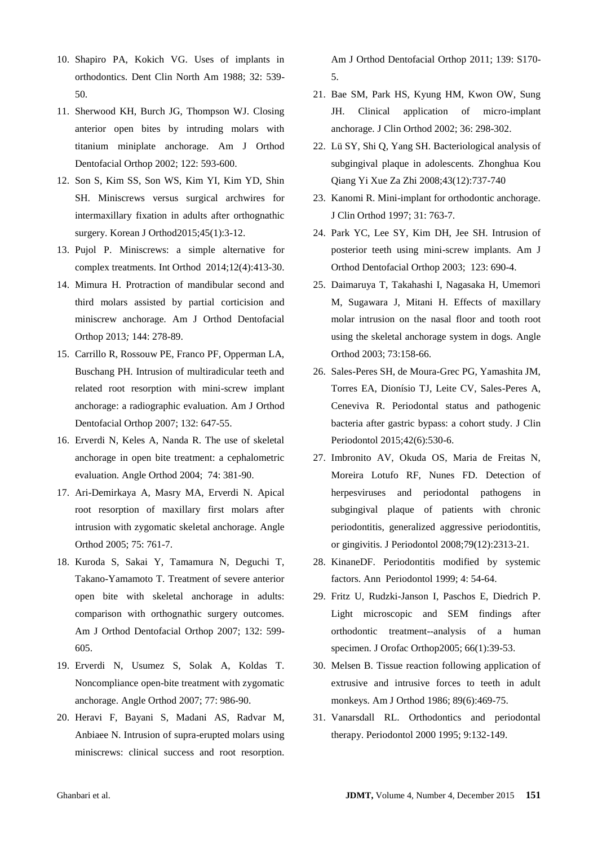- 10. Shapiro PA, Kokich VG. Uses of implants in orthodontics. Dent Clin North Am 1988; 32: 539- 50.
- 11. Sherwood KH, Burch JG, Thompson WJ. Closing anterior open bites by intruding molars with titanium miniplate anchorage. Am J Orthod Dentofacial Orthop 2002; 122: 593-600.
- 12. Son S, Kim SS, Son WS, Kim YI, Kim YD, Shin SH. [Miniscrews versus surgical archwires for](http://www.ncbi.nlm.nih.gov/pubmed/25667912)  [intermaxillary fixation in adults after orthognathic](http://www.ncbi.nlm.nih.gov/pubmed/25667912)  [surgery.](http://www.ncbi.nlm.nih.gov/pubmed/25667912) Korean J Orthod2015;45(1):3-12.
- 13. Pujol P. [Miniscrews: a simple alternative for](http://www.ncbi.nlm.nih.gov/pubmed/25457392)  [complex treatments.](http://www.ncbi.nlm.nih.gov/pubmed/25457392) Int Orthod 2014;12(4):413-30.
- 14. Mimura H. Protraction of mandibular second and third molars assisted by partial corticision and miniscrew anchorage*.* Am J Orthod Dentofacial Orthop 2013*;* 144: 278-89.
- 15. Carrillo R, Rossouw PE, Franco PF, Opperman LA, Buschang PH. Intrusion of multiradicular teeth and related root resorption with mini-screw implant anchorage: a radiographic evaluation. Am J Orthod Dentofacial Orthop 2007; 132: 647-55.
- 16. Erverdi N, Keles A, Nanda R. The use of skeletal anchorage in open bite treatment: a cephalometric evaluation. Angle Orthod 2004; 74: 381-90.
- 17. Ari-Demirkaya A, Masry MA, Erverdi N. Apical root resorption of maxillary first molars after intrusion with zygomatic skeletal anchorage. Angle Orthod 2005; 75: 761-7.
- 18. Kuroda S, Sakai Y, Tamamura N, Deguchi T, Takano-Yamamoto T. Treatment of severe anterior open bite with skeletal anchorage in adults: comparison with orthognathic surgery outcomes. Am J Orthod Dentofacial Orthop 2007; 132: 599- 605.
- 19. Erverdi N, Usumez S, Solak A, Koldas T. Noncompliance open-bite treatment with zygomatic anchorage. Angle Orthod 2007; 77: 986-90.
- 20. Heravi F, Bayani S, Madani AS, Radvar M, Anbiaee N. Intrusion of supra-erupted molars using miniscrews: clinical success and root resorption*.*

Am J Orthod Dentofacial Orthop 2011; 139: S170- 5.

- 21. Bae SM, Park HS, Kyung HM, Kwon OW, Sung JH. Clinical application of micro-implant anchorage. J Clin Orthod 2002; 36: 298-302.
- 22. Lü SY, Shi Q, Yang SH. [Bacteriological analysis of](http://www.ncbi.nlm.nih.gov/pubmed/19134350)  [subgingival plaque in adolescents.](http://www.ncbi.nlm.nih.gov/pubmed/19134350) [Zhonghua Kou](http://www.ncbi.nlm.nih.gov/pubmed/19134350)  [Qiang Yi Xue Za Zhi](http://www.ncbi.nlm.nih.gov/pubmed/19134350) 2008;43(12):737-740
- 23. Kanomi R. Mini-implant for orthodontic anchorage. J Clin Orthod 1997; 31: 763-7.
- 24. Park YC, Lee SY, Kim DH, Jee SH. Intrusion of posterior teeth using mini-screw implants. Am J Orthod Dentofacial Orthop 2003; 123: 690-4.
- 25. Daimaruya T, Takahashi I, Nagasaka H, Umemori M, Sugawara J, Mitani H. Effects of maxillary molar intrusion on the nasal floor and tooth root using the skeletal anchorage system in dogs. Angle Orthod 2003; 73:158-66.
- 26. Sales-Peres SH, de Moura-Grec PG, Yamashita JM, Torres EA, Dionísio TJ, Leite CV, Sales-Peres A, Ceneviva R. [Periodontal status and pathogenic](http://www.ncbi.nlm.nih.gov/pubmed/25924695)  [bacteria after gastric bypass: a cohort study.](http://www.ncbi.nlm.nih.gov/pubmed/25924695) J Clin Periodontol 2015;42(6):530-6.
- 27. Imbronito AV, Okuda OS, Maria de Freitas N, Moreira Lotufo RF, Nunes FD. [Detection of](http://www.ncbi.nlm.nih.gov/pubmed/19053922) [herpesviruses and periodontal pathogens in](http://www.ncbi.nlm.nih.gov/pubmed/19053922)  [subgingival plaque of patients with chronic](http://www.ncbi.nlm.nih.gov/pubmed/19053922)  [periodontitis, generalized aggressive periodontitis,](http://www.ncbi.nlm.nih.gov/pubmed/19053922)  [or gingivitis.](http://www.ncbi.nlm.nih.gov/pubmed/19053922) J Periodontol 2008;79(12):2313-21.
- 28. KinaneDF. Periodontitis modified by systemic factors. Ann Periodontol 1999; 4: 54-64.
- 29. Fritz U, Rudzki-Janson I, Paschos E, Diedrich P. [Light microscopic and SEM findings after](http://www.ncbi.nlm.nih.gov/pubmed/15711899)  [orthodontic treatment--analysis of a human](http://www.ncbi.nlm.nih.gov/pubmed/15711899)  [specimen.](http://www.ncbi.nlm.nih.gov/pubmed/15711899) J Orofac Orthop2005; 66(1):39-53.
- 30. Melsen B. [Tissue reaction following application of](http://www.ncbi.nlm.nih.gov/pubmed/3459360)  [extrusive and intrusive forces to teeth in adult](http://www.ncbi.nlm.nih.gov/pubmed/3459360)  [monkeys.](http://www.ncbi.nlm.nih.gov/pubmed/3459360) Am J Orthod 1986; 89(6):469-75.
- 31. Vanarsdall RL. Orthodontics and periodontal therapy. Periodontol 2000 1995; 9:132-149.